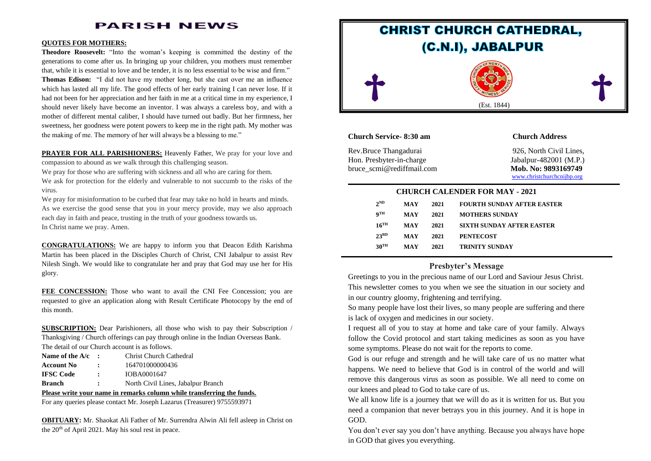# **PARISH NEWS**

#### **QUOTES FOR MOTHERS:**

**Theodore Roosevelt:** "Into the woman's keeping is committed the destiny of the generations to come after us. In bringing up your children, you mothers must remember that, while it is essential to love and be tender, it is no less essential to be wise and firm." **Thomas Edison:** "I did not have my mother long, but she cast over me an influence which has lasted all my life. The good effects of her early training I can never lose. If it had not been for her appreciation and her faith in me at a critical time in my experience, I should never likely have become an inventor. I was always a careless boy, and with a mother of different mental caliber, I should have turned out badly. But her firmness, her sweetness, her goodness were potent powers to keep me in the right path. My mother was the making of me. The memory of her will always be a blessing to me."

**PRAYER FOR ALL PARISHIONERS:** Heavenly Father, We pray for your love and compassion to abound as we walk through this challenging season.

We pray for those who are suffering with sickness and all who are caring for them.

We ask for protection for the elderly and vulnerable to not succumb to the risks of the virus.

We pray for misinformation to be curbed that fear may take no hold in hearts and minds. As we exercise the good sense that you in your mercy provide, may we also approach each day in faith and peace, trusting in the truth of your goodness towards us. In Christ name we pray. Amen.

**CONGRATULATIONS:** We are happy to inform you that Deacon Edith Karishma Martin has been placed in the Disciples Church of Christ, CNI Jabalpur to assist Rev Nilesh Singh. We would like to congratulate her and pray that God may use her for His glory.

**FEE CONCESSION:** Those who want to avail the CNI Fee Concession; you are requested to give an application along with Result Certificate Photocopy by the end of this month.

**SUBSCRIPTION:** Dear Parishioners, all those who wish to pay their Subscription / Thanksgiving / Church offerings can pay through online in the Indian Overseas Bank. The detail of our Church account is as follows.

| Name of the $A/c$ : |                      | Christ Church Cathedral            |
|---------------------|----------------------|------------------------------------|
| <b>Account No</b>   |                      | 164701000000436                    |
| <b>IFSC Code</b>    | $\ddot{\phantom{a}}$ | IOBA0001647                        |
| <b>Branch</b>       | ÷                    | North Civil Lines, Jabalpur Branch |

#### **Please write your name in remarks column while transferring the funds.**

For any queries please contact Mr. Joseph Lazarus (Treasurer) 9755593971

**OBITUARY:** Mr. Shaokat Ali Father of Mr. Surrendra Alwin Ali fell asleep in Christ on the 20<sup>th</sup> of April 2021. May his soul rest in peace.



### **Church Service- 8:30 am Church Address**

Rev.Bruce Thangadurai 926, North Civil Lines, Hon. Presbyter-in-charge Jabalpur-482001 (M.P.) bruce scmi@rediffmail.com Mob. No: 9893169749

[www.christchurchcnijbp.org](http://www.christchurchcnijbp.org/)

#### **CHURCH CALENDER FOR MAY - 2021**

| $2^{ND}$           | MAY | 2021 | <b>FOURTH SUNDAY AFTER EASTER</b> |
|--------------------|-----|------|-----------------------------------|
| qтн                | MAY | 2021 | <b>MOTHERS SUNDAY</b>             |
| $16$ <sup>TH</sup> | MAY | 2021 | <b>SIXTH SUNDAY AFTER EASTER</b>  |
| 23 <sup>RD</sup>   | MAY | 2021 | <b>PENTECOST</b>                  |
| $30^{\text{TH}}$   | MAY | 2021 | TRINITY SUNDAY                    |

### **Presbyter's Message**

Greetings to you in the precious name of our Lord and Saviour Jesus Christ. This newsletter comes to you when we see the situation in our society and in our country gloomy, frightening and terrifying.

So many people have lost their lives, so many people are suffering and there is lack of oxygen and medicines in our society.

I request all of you to stay at home and take care of your family. Always follow the Covid protocol and start taking medicines as soon as you have some symptoms. Please do not wait for the reports to come.

God is our refuge and strength and he will take care of us no matter what happens. We need to believe that God is in control of the world and will remove this dangerous virus as soon as possible. We all need to come on our knees and plead to God to take care of us.

We all know life is a journey that we will do as it is written for us. But you need a companion that never betrays you in this journey. And it is hope in GOD.

You don't ever say you don't have anything. Because you always have hope in GOD that gives you everything.